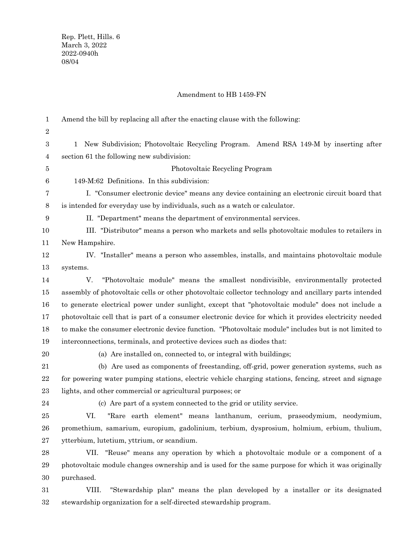## Amendment to HB 1459-FN

| $\mathbf 1$      | Amend the bill by replacing all after the enacting clause with the following:                           |
|------------------|---------------------------------------------------------------------------------------------------------|
| $\sqrt{2}$       |                                                                                                         |
| $\boldsymbol{3}$ | 1 New Subdivision; Photovoltaic Recycling Program. Amend RSA 149-M by inserting after                   |
| $\overline{4}$   | section 61 the following new subdivision:                                                               |
| 5                | Photovoltaic Recycling Program                                                                          |
| $\,6$            | 149-M:62 Definitions. In this subdivision:                                                              |
| 7                | I. "Consumer electronic device" means any device containing an electronic circuit board that            |
| 8                | is intended for everyday use by individuals, such as a watch or calculator.                             |
| $\boldsymbol{9}$ | II. "Department" means the department of environmental services.                                        |
| 10               | III. "Distributor" means a person who markets and sells photovoltaic modules to retailers in            |
| 11               | New Hampshire.                                                                                          |
| 12               | IV. "Installer" means a person who assembles, installs, and maintains photovoltaic module               |
| 13               | systems.                                                                                                |
| 14               | "Photovoltaic module" means the smallest nondivisible, environmentally protected<br>V.                  |
| 15               | assembly of photovoltaic cells or other photovoltaic collector technology and ancillary parts intended  |
| 16               | to generate electrical power under sunlight, except that "photovoltaic module" does not include a       |
| 17               | photovoltaic cell that is part of a consumer electronic device for which it provides electricity needed |
| 18               | to make the consumer electronic device function. "Photovoltaic module" includes but is not limited to   |
| 19               | interconnections, terminals, and protective devices such as diodes that:                                |
| 20               | (a) Are installed on, connected to, or integral with buildings;                                         |
| 21               | (b) Are used as components of freestanding, off-grid, power generation systems, such as                 |
| $\bf{22}$        | for powering water pumping stations, electric vehicle charging stations, fencing, street and signage    |
| 23               | lights, and other commercial or agricultural purposes; or                                               |
| $\bf{24}$        | (c) Are part of a system connected to the grid or utility service.                                      |
| 25               | VI.<br>"Rare earth element" means lanthanum, cerium, praseodymium, neodymium,                           |
| ${\bf 26}$       | promethium, samarium, europium, gadolinium, terbium, dysprosium, holmium, erbium, thulium,              |
| 27               | ytterbium, lutetium, yttrium, or scandium.                                                              |
| $\bf{28}$        | VII. "Reuse" means any operation by which a photovoltaic module or a component of a                     |
| 29               | photovoltaic module changes ownership and is used for the same purpose for which it was originally      |
| $30\,$           | purchased.                                                                                              |
| 31               | "Stewardship plan" means the plan developed by a installer or its designated<br>VIII.                   |

stewardship organization for a self-directed stewardship program. 32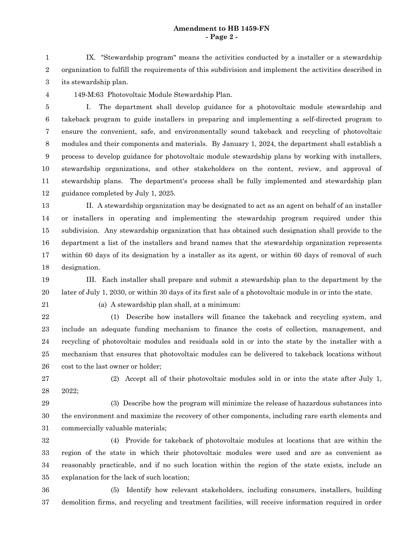## **Amendment to HB 1459-FN - Page 2 -**

IX. "Stewardship program" means the activities conducted by a installer or a stewardship organization to fulfill the requirements of this subdivision and implement the activities described in its stewardship plan. 1 2 3

4

149-M:63 Photovoltaic Module Stewardship Plan.

I. The department shall develop guidance for a photovoltaic module stewardship and takeback program to guide installers in preparing and implementing a self-directed program to ensure the convenient, safe, and environmentally sound takeback and recycling of photovoltaic modules and their components and materials. By January 1, 2024, the department shall establish a process to develop guidance for photovoltaic module stewardship plans by working with installers, stewardship organizations, and other stakeholders on the content, review, and approval of stewardship plans. The department's process shall be fully implemented and stewardship plan guidance completed by July 1, 2025. 5 6 7 8 9 10 11 12

II. A stewardship organization may be designated to act as an agent on behalf of an installer or installers in operating and implementing the stewardship program required under this subdivision. Any stewardship organization that has obtained such designation shall provide to the department a list of the installers and brand names that the stewardship organization represents within 60 days of its designation by a installer as its agent, or within 60 days of removal of such designation. 13 14 15 16 17 18

III. Each installer shall prepare and submit a stewardship plan to the department by the later of July 1, 2030, or within 30 days of its first sale of a photovoltaic module in or into the state. 19 20

21

(a) A stewardship plan shall, at a minimum:

(1) Describe how installers will finance the takeback and recycling system, and include an adequate funding mechanism to finance the costs of collection, management, and recycling of photovoltaic modules and residuals sold in or into the state by the installer with a mechanism that ensures that photovoltaic modules can be delivered to takeback locations without cost to the last owner or holder; 22 23 24 25 26

(2) Accept all of their photovoltaic modules sold in or into the state after July 1, 2022; 27 28

(3) Describe how the program will minimize the release of hazardous substances into the environment and maximize the recovery of other components, including rare earth elements and commercially valuable materials; 29 30 31

(4) Provide for takeback of photovoltaic modules at locations that are within the region of the state in which their photovoltaic modules were used and are as convenient as reasonably practicable, and if no such location within the region of the state exists, include an explanation for the lack of such location; 32 33 34 35

(5) Identify how relevant stakeholders, including consumers, installers, building demolition firms, and recycling and treatment facilities, will receive information required in order 36 37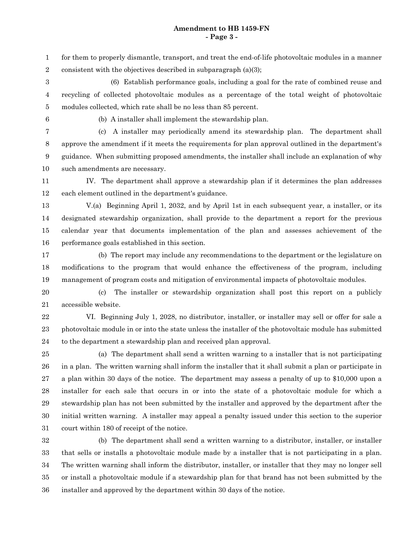## **Amendment to HB 1459-FN - Page 3 -**

for them to properly dismantle, transport, and treat the end-of-life photovoltaic modules in a manner consistent with the objectives described in subparagraph (a)(3); 1 2

(6) Establish performance goals, including a goal for the rate of combined reuse and recycling of collected photovoltaic modules as a percentage of the total weight of photovoltaic modules collected, which rate shall be no less than 85 percent. 3 4 5

6

(b) A installer shall implement the stewardship plan.

(c) A installer may periodically amend its stewardship plan. The department shall approve the amendment if it meets the requirements for plan approval outlined in the department's guidance. When submitting proposed amendments, the installer shall include an explanation of why such amendments are necessary. 7 8 9 10

IV. The department shall approve a stewardship plan if it determines the plan addresses each element outlined in the department's guidance. 11 12

13

V.(a) Beginning April 1, 2032, and by April 1st in each subsequent year, a installer, or its designated stewardship organization, shall provide to the department a report for the previous calendar year that documents implementation of the plan and assesses achievement of the performance goals established in this section. 14 15 16

(b) The report may include any recommendations to the department or the legislature on modifications to the program that would enhance the effectiveness of the program, including management of program costs and mitigation of environmental impacts of photovoltaic modules. 17 18 19

(c) The installer or stewardship organization shall post this report on a publicly accessible website. 20 21

VI. Beginning July 1, 2028, no distributor, installer, or installer may sell or offer for sale a photovoltaic module in or into the state unless the installer of the photovoltaic module has submitted to the department a stewardship plan and received plan approval. 22 23 24

(a) The department shall send a written warning to a installer that is not participating in a plan. The written warning shall inform the installer that it shall submit a plan or participate in a plan within 30 days of the notice. The department may assess a penalty of up to \$10,000 upon a installer for each sale that occurs in or into the state of a photovoltaic module for which a stewardship plan has not been submitted by the installer and approved by the department after the initial written warning. A installer may appeal a penalty issued under this section to the superior court within 180 of receipt of the notice. 25 26 27 28 29 30 31

(b) The department shall send a written warning to a distributor, installer, or installer that sells or installs a photovoltaic module made by a installer that is not participating in a plan. The written warning shall inform the distributor, installer, or installer that they may no longer sell or install a photovoltaic module if a stewardship plan for that brand has not been submitted by the installer and approved by the department within 30 days of the notice. 32 33 34 35 36